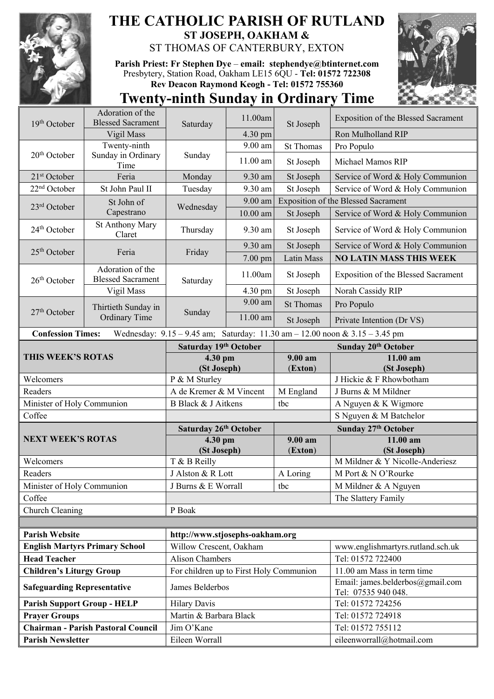

## **THE CATHOLIC PARISH OF RUTLAND ST JOSEPH, OAKHAM &**  ST THOMAS OF CANTERBURY, EXTON

**Parish Priest: Fr Stephen Dye** – **[email: stephendye@btinternet.com](mailto:email:%20%20stephendye@btinternet.com)** Presbytery, Station Road, Oakham LE15 6QU - **Tel: 01572 722308 Rev Deacon Raymond Keogh - Tel: 01572 755360**



## **Twenty-ninth Sunday in Ordinary Time**

| 19th October                                                                                                    | Adoration of the<br><b>Blessed Sacrament</b> | Saturday                                | 11.00am    | St Joseph          | Exposition of the Blessed Sacrament                     |  |  |
|-----------------------------------------------------------------------------------------------------------------|----------------------------------------------|-----------------------------------------|------------|--------------------|---------------------------------------------------------|--|--|
|                                                                                                                 | Vigil Mass                                   |                                         | 4.30 pm    |                    | Ron Mulholland RIP                                      |  |  |
|                                                                                                                 | Twenty-ninth                                 |                                         | 9.00 am    | <b>St Thomas</b>   | Pro Populo                                              |  |  |
| $20th$ October                                                                                                  | Sunday in Ordinary<br>Time                   | Sunday                                  | 11.00 am   | St Joseph          | Michael Mamos RIP                                       |  |  |
| 21 <sup>st</sup> October                                                                                        | Feria                                        | Monday                                  | 9.30 am    | St Joseph          | Service of Word & Holy Communion                        |  |  |
| 22 <sup>nd</sup> October                                                                                        | St John Paul II                              | Tuesday                                 | 9.30 am    | St Joseph          | Service of Word & Holy Communion                        |  |  |
| 23rd October                                                                                                    | St John of<br>Capestrano                     | Wednesday                               | 9.00 am    |                    | <b>Exposition of the Blessed Sacrament</b>              |  |  |
|                                                                                                                 |                                              |                                         | $10.00$ am | St Joseph          | Service of Word & Holy Communion                        |  |  |
| 24 <sup>th</sup> October                                                                                        | <b>St Anthony Mary</b><br>Claret             | Thursday                                | 9.30 am    | St Joseph          | Service of Word & Holy Communion                        |  |  |
| $25th$ October                                                                                                  | Feria                                        | Friday                                  | 9.30 am    | St Joseph          | Service of Word & Holy Communion                        |  |  |
|                                                                                                                 |                                              |                                         | 7.00 pm    | <b>Latin Mass</b>  | <b>NO LATIN MASS THIS WEEK</b>                          |  |  |
| $26th$ October                                                                                                  | Adoration of the<br><b>Blessed Sacrament</b> | Saturday                                | 11.00am    | St Joseph          | <b>Exposition of the Blessed Sacrament</b>              |  |  |
|                                                                                                                 | Vigil Mass                                   |                                         | 4.30 pm    | St Joseph          | Norah Cassidy RIP                                       |  |  |
| $27th$ October                                                                                                  | Thirtieth Sunday in<br><b>Ordinary Time</b>  | Sunday                                  | 9.00 am    | <b>St Thomas</b>   | Pro Populo                                              |  |  |
|                                                                                                                 |                                              |                                         | $11.00$ am | St Joseph          | Private Intention (Dr VS)                               |  |  |
| Wednesday: $9.15 - 9.45$ am; Saturday: $11.30$ am $- 12.00$ noon & $3.15 - 3.45$ pm<br><b>Confession Times:</b> |                                              |                                         |            |                    |                                                         |  |  |
| THIS WEEK'S ROTAS                                                                                               |                                              | Saturday 19th October                   |            |                    | Sunday 20th October                                     |  |  |
|                                                                                                                 |                                              | 4.30 pm<br>(St Joseph)                  |            | 9.00 am<br>(Exton) | 11.00 am<br>(St Joseph)                                 |  |  |
| Welcomers                                                                                                       |                                              | P & M Sturley                           |            |                    | J Hickie & F Rhowbotham                                 |  |  |
| Readers                                                                                                         |                                              | A de Kremer & M Vincent                 |            | M England          | J Burns & M Mildner                                     |  |  |
| Minister of Holy Communion                                                                                      |                                              | B Black & J Aitkens                     |            | tbc                | A Nguyen & K Wigmore                                    |  |  |
| Coffee                                                                                                          |                                              |                                         |            |                    | S Nguyen & M Batchelor                                  |  |  |
| <b>NEXT WEEK'S ROTAS</b>                                                                                        |                                              | Saturday 26th October                   |            |                    | Sunday 27th October                                     |  |  |
|                                                                                                                 |                                              | 4.30 pm<br>(St Joseph)                  |            | 9.00 am<br>(Exton) | 11.00 am<br>(St Joseph)                                 |  |  |
| Welcomers                                                                                                       |                                              | T & B Reilly                            |            |                    | M Mildner & Y Nicolle-Anderiesz                         |  |  |
| Readers                                                                                                         |                                              | J Alston & R Lott                       |            | A Loring           | M Port & N O'Rourke                                     |  |  |
| Minister of Holy Communion                                                                                      |                                              | J Burns & E Worrall                     |            | tbc                | M Mildner & A Nguyen                                    |  |  |
| Coffee                                                                                                          |                                              |                                         |            |                    | The Slattery Family                                     |  |  |
| Church Cleaning                                                                                                 |                                              |                                         |            |                    |                                                         |  |  |
|                                                                                                                 |                                              |                                         |            |                    |                                                         |  |  |
| <b>Parish Website</b>                                                                                           |                                              | http://www.stjosephs-oakham.org         |            |                    |                                                         |  |  |
| <b>English Martyrs Primary School</b>                                                                           |                                              | Willow Crescent, Oakham                 |            |                    | www.englishmartyrs.rutland.sch.uk                       |  |  |
| <b>Head Teacher</b>                                                                                             |                                              | <b>Alison Chambers</b>                  |            |                    | Tel: 01572 722400                                       |  |  |
| <b>Children's Liturgy Group</b>                                                                                 |                                              | For children up to First Holy Communion |            |                    | 11.00 am Mass in term time                              |  |  |
| <b>Safeguarding Representative</b>                                                                              |                                              | James Belderbos                         |            |                    | Email: james.belderbos@gmail.com<br>Tel: 07535 940 048. |  |  |
| <b>Parish Support Group - HELP</b>                                                                              |                                              | <b>Hilary Davis</b>                     |            |                    | Tel: 01572 724256                                       |  |  |
| <b>Prayer Groups</b>                                                                                            |                                              | Martin & Barbara Black                  |            |                    | Tel: 01572 724918                                       |  |  |
| <b>Chairman - Parish Pastoral Council</b>                                                                       |                                              | Jim O'Kane                              |            |                    | Tel: 01572 755112                                       |  |  |
| <b>Parish Newsletter</b>                                                                                        |                                              | Eileen Worrall                          |            |                    | eileenworrall@hotmail.com                               |  |  |